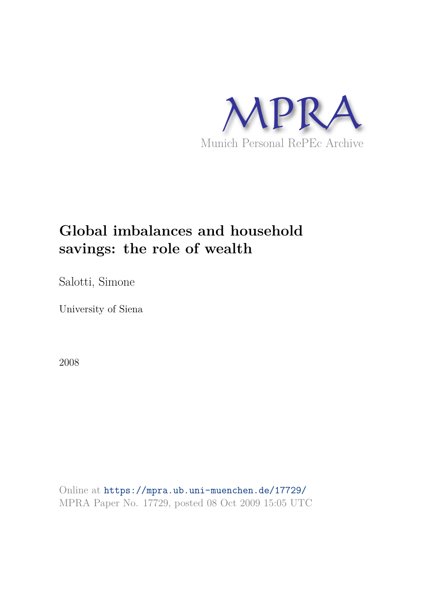

# **Global imbalances and household savings: the role of wealth**

Salotti, Simone

University of Siena

2008

Online at https://mpra.ub.uni-muenchen.de/17729/ MPRA Paper No. 17729, posted 08 Oct 2009 15:05 UTC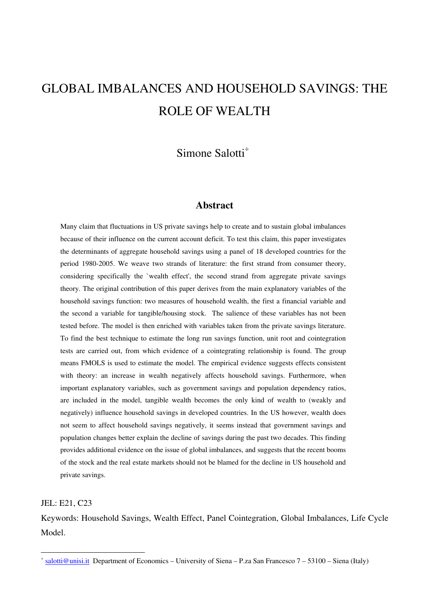# GLOBAL IMBALANCES AND HOUSEHOLD SAVINGS: THE ROLE OF WEALTH

## Simone Salotti<sup>÷</sup>

#### **Abstract**

Many claim that fluctuations in US private savings help to create and to sustain global imbalances because of their influence on the current account deficit. To test this claim, this paper investigates the determinants of aggregate household savings using a panel of 18 developed countries for the period 1980-2005. We weave two strands of literature: the first strand from consumer theory, considering specifically the `wealth effect', the second strand from aggregate private savings theory. The original contribution of this paper derives from the main explanatory variables of the household savings function: two measures of household wealth, the first a financial variable and the second a variable for tangible/housing stock. The salience of these variables has not been tested before. The model is then enriched with variables taken from the private savings literature. To find the best technique to estimate the long run savings function, unit root and cointegration tests are carried out, from which evidence of a cointegrating relationship is found. The group means FMOLS is used to estimate the model. The empirical evidence suggests effects consistent with theory: an increase in wealth negatively affects household savings. Furthermore, when important explanatory variables, such as government savings and population dependency ratios, are included in the model, tangible wealth becomes the only kind of wealth to (weakly and negatively) influence household savings in developed countries. In the US however, wealth does not seem to affect household savings negatively, it seems instead that government savings and population changes better explain the decline of savings during the past two decades. This finding provides additional evidence on the issue of global imbalances, and suggests that the recent booms of the stock and the real estate markets should not be blamed for the decline in US household and private savings.

JEL: E21, C23

 $\overline{a}$ 

Keywords: Household Savings, Wealth Effect, Panel Cointegration, Global Imbalances, Life Cycle Model.

 $\frac{4}{5}$  salotti@unisi.it Department of Economics – University of Siena – P.za San Francesco 7 – 53100 – Siena (Italy)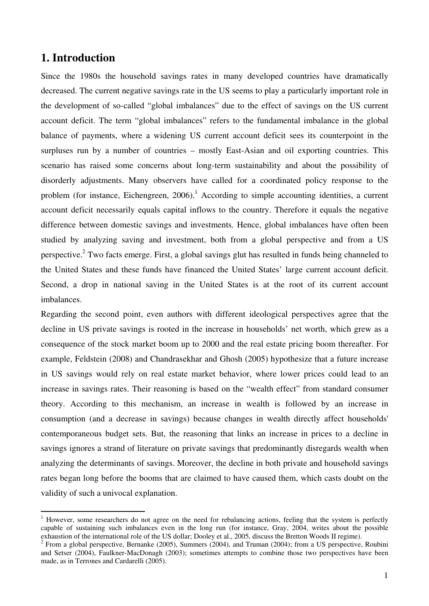## **1. Introduction**

 $\overline{a}$ 

Since the 1980s the household savings rates in many developed countries have dramatically decreased. The current negative savings rate in the US seems to play a particularly important role in the development of so-called "global imbalances" due to the effect of savings on the US current account deficit. The term "global imbalances" refers to the fundamental imbalance in the global balance of payments, where a widening US current account deficit sees its counterpoint in the surpluses run by a number of countries – mostly East-Asian and oil exporting countries. This scenario has raised some concerns about long-term sustainability and about the possibility of disorderly adjustments. Many observers have called for a coordinated policy response to the problem (for instance, Eichengreen,  $2006$ ).<sup>1</sup> According to simple accounting identities, a current account deficit necessarily equals capital inflows to the country. Therefore it equals the negative difference between domestic savings and investments. Hence, global imbalances have often been studied by analyzing saving and investment, both from a global perspective and from a US perspective.<sup>2</sup> Two facts emerge. First, a global savings glut has resulted in funds being channeled to the United States and these funds have financed the United States' large current account deficit. Second, a drop in national saving in the United States is at the root of its current account imbalances.

Regarding the second point, even authors with different ideological perspectives agree that the decline in US private savings is rooted in the increase in households' net worth, which grew as a consequence of the stock market boom up to 2000 and the real estate pricing boom thereafter. For example, Feldstein (2008) and Chandrasekhar and Ghosh (2005) hypothesize that a future increase in US savings would rely on real estate market behavior, where lower prices could lead to an increase in savings rates. Their reasoning is based on the "wealth effect" from standard consumer theory. According to this mechanism, an increase in wealth is followed by an increase in consumption (and a decrease in savings) because changes in wealth directly affect households' contemporaneous budget sets. But, the reasoning that links an increase in prices to a decline in savings ignores a strand of literature on private savings that predominantly disregards wealth when analyzing the determinants of savings. Moreover, the decline in both private and household savings rates began long before the booms that are claimed to have caused them, which casts doubt on the validity of such a univocal explanation.

<sup>&</sup>lt;sup>1</sup> However, some researchers do not agree on the need for rebalancing actions, feeling that the system is perfectly capable of sustaining such imbalances even in the long run (for instance, Gray, 2004, writes about the possible exhaustion of the international role of the US dollar; Dooley et al., 2005, discuss the Bretton Woods II regime).

<sup>&</sup>lt;sup>2</sup> From a global perspective, Bernanke (2005), Summers (2004), and Truman (2004); from a US perspective, Roubini and Setser (2004), Faulkner-MacDonagh (2003); sometimes attempts to combine those two perspectives have been made, as in Terrones and Cardarelli (2005).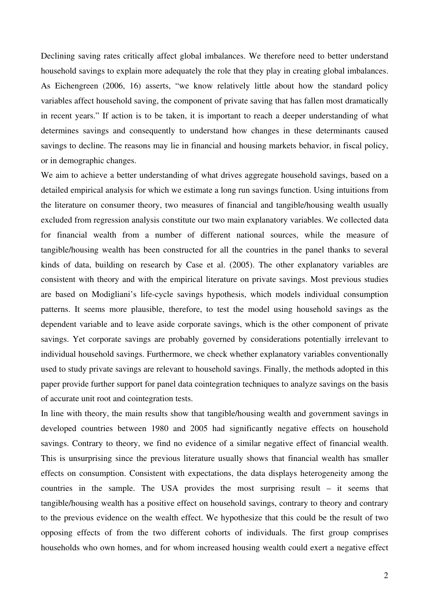Declining saving rates critically affect global imbalances. We therefore need to better understand household savings to explain more adequately the role that they play in creating global imbalances. As Eichengreen (2006, 16) asserts, "we know relatively little about how the standard policy variables affect household saving, the component of private saving that has fallen most dramatically in recent years." If action is to be taken, it is important to reach a deeper understanding of what determines savings and consequently to understand how changes in these determinants caused savings to decline. The reasons may lie in financial and housing markets behavior, in fiscal policy, or in demographic changes.

We aim to achieve a better understanding of what drives aggregate household savings, based on a detailed empirical analysis for which we estimate a long run savings function. Using intuitions from the literature on consumer theory, two measures of financial and tangible/housing wealth usually excluded from regression analysis constitute our two main explanatory variables. We collected data for financial wealth from a number of different national sources, while the measure of tangible/housing wealth has been constructed for all the countries in the panel thanks to several kinds of data, building on research by Case et al. (2005). The other explanatory variables are consistent with theory and with the empirical literature on private savings. Most previous studies are based on Modigliani's life-cycle savings hypothesis, which models individual consumption patterns. It seems more plausible, therefore, to test the model using household savings as the dependent variable and to leave aside corporate savings, which is the other component of private savings. Yet corporate savings are probably governed by considerations potentially irrelevant to individual household savings. Furthermore, we check whether explanatory variables conventionally used to study private savings are relevant to household savings. Finally, the methods adopted in this paper provide further support for panel data cointegration techniques to analyze savings on the basis of accurate unit root and cointegration tests.

In line with theory, the main results show that tangible/housing wealth and government savings in developed countries between 1980 and 2005 had significantly negative effects on household savings. Contrary to theory, we find no evidence of a similar negative effect of financial wealth. This is unsurprising since the previous literature usually shows that financial wealth has smaller effects on consumption. Consistent with expectations, the data displays heterogeneity among the countries in the sample. The USA provides the most surprising result – it seems that tangible/housing wealth has a positive effect on household savings, contrary to theory and contrary to the previous evidence on the wealth effect. We hypothesize that this could be the result of two opposing effects of from the two different cohorts of individuals. The first group comprises households who own homes, and for whom increased housing wealth could exert a negative effect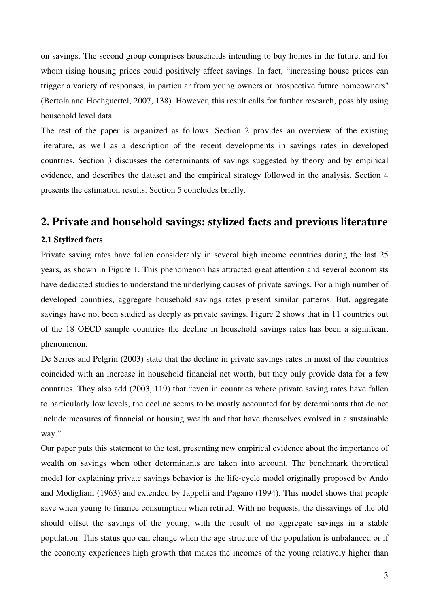on savings. The second group comprises households intending to buy homes in the future, and for whom rising housing prices could positively affect savings. In fact, "increasing house prices can trigger a variety of responses, in particular from young owners or prospective future homeowners'' (Bertola and Hochguertel, 2007, 138). However, this result calls for further research, possibly using household level data.

The rest of the paper is organized as follows. Section 2 provides an overview of the existing literature, as well as a description of the recent developments in savings rates in developed countries. Section 3 discusses the determinants of savings suggested by theory and by empirical evidence, and describes the dataset and the empirical strategy followed in the analysis. Section 4 presents the estimation results. Section 5 concludes briefly.

## **2. Private and household savings: stylized facts and previous literature**

#### **2.1 Stylized facts**

Private saving rates have fallen considerably in several high income countries during the last 25 years, as shown in Figure 1. This phenomenon has attracted great attention and several economists have dedicated studies to understand the underlying causes of private savings. For a high number of developed countries, aggregate household savings rates present similar patterns. But, aggregate savings have not been studied as deeply as private savings. Figure 2 shows that in 11 countries out of the 18 OECD sample countries the decline in household savings rates has been a significant phenomenon.

De Serres and Pelgrin (2003) state that the decline in private savings rates in most of the countries coincided with an increase in household financial net worth, but they only provide data for a few countries. They also add (2003, 119) that "even in countries where private saving rates have fallen to particularly low levels, the decline seems to be mostly accounted for by determinants that do not include measures of financial or housing wealth and that have themselves evolved in a sustainable way."

Our paper puts this statement to the test, presenting new empirical evidence about the importance of wealth on savings when other determinants are taken into account. The benchmark theoretical model for explaining private savings behavior is the life-cycle model originally proposed by Ando and Modigliani (1963) and extended by Jappelli and Pagano (1994). This model shows that people save when young to finance consumption when retired. With no bequests, the dissavings of the old should offset the savings of the young, with the result of no aggregate savings in a stable population. This status quo can change when the age structure of the population is unbalanced or if the economy experiences high growth that makes the incomes of the young relatively higher than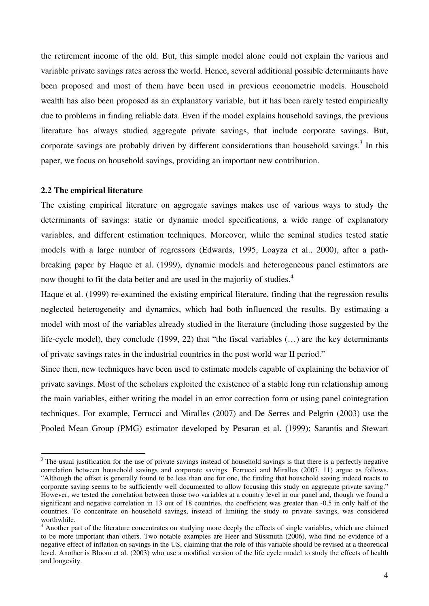the retirement income of the old. But, this simple model alone could not explain the various and variable private savings rates across the world. Hence, several additional possible determinants have been proposed and most of them have been used in previous econometric models. Household wealth has also been proposed as an explanatory variable, but it has been rarely tested empirically due to problems in finding reliable data. Even if the model explains household savings, the previous literature has always studied aggregate private savings, that include corporate savings. But, corporate savings are probably driven by different considerations than household savings.<sup>3</sup> In this paper, we focus on household savings, providing an important new contribution.

#### **2.2 The empirical literature**

 $\overline{a}$ 

The existing empirical literature on aggregate savings makes use of various ways to study the determinants of savings: static or dynamic model specifications, a wide range of explanatory variables, and different estimation techniques. Moreover, while the seminal studies tested static models with a large number of regressors (Edwards, 1995, Loayza et al., 2000), after a pathbreaking paper by Haque et al. (1999), dynamic models and heterogeneous panel estimators are now thought to fit the data better and are used in the majority of studies.<sup>4</sup>

Haque et al. (1999) re-examined the existing empirical literature, finding that the regression results neglected heterogeneity and dynamics, which had both influenced the results. By estimating a model with most of the variables already studied in the literature (including those suggested by the life-cycle model), they conclude (1999, 22) that "the fiscal variables (…) are the key determinants of private savings rates in the industrial countries in the post world war II period."

Since then, new techniques have been used to estimate models capable of explaining the behavior of private savings. Most of the scholars exploited the existence of a stable long run relationship among the main variables, either writing the model in an error correction form or using panel cointegration techniques. For example, Ferrucci and Miralles (2007) and De Serres and Pelgrin (2003) use the Pooled Mean Group (PMG) estimator developed by Pesaran et al. (1999); Sarantis and Stewart

 $3$  The usual justification for the use of private savings instead of household savings is that there is a perfectly negative correlation between household savings and corporate savings. Ferrucci and Miralles (2007, 11) argue as follows, "Although the offset is generally found to be less than one for one, the finding that household saving indeed reacts to corporate saving seems to be sufficiently well documented to allow focusing this study on aggregate private saving." However, we tested the correlation between those two variables at a country level in our panel and, though we found a significant and negative correlation in 13 out of 18 countries, the coefficient was greater than -0.5 in only half of the countries. To concentrate on household savings, instead of limiting the study to private savings, was considered worthwhile.

<sup>&</sup>lt;sup>4</sup> Another part of the literature concentrates on studying more deeply the effects of single variables, which are claimed to be more important than others. Two notable examples are Heer and Süssmuth (2006), who find no evidence of a negative effect of inflation on savings in the US, claiming that the role of this variable should be revised at a theoretical level. Another is Bloom et al. (2003) who use a modified version of the life cycle model to study the effects of health and longevity.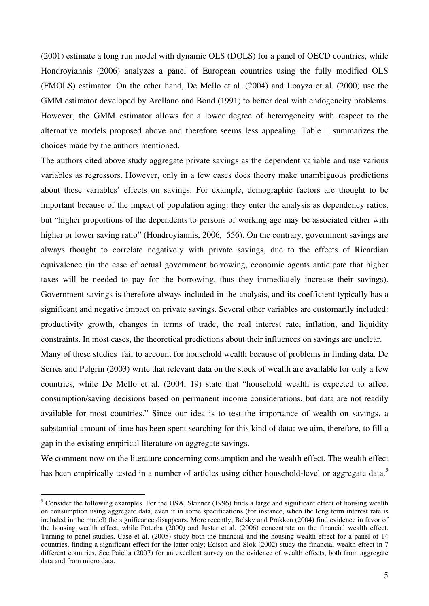(2001) estimate a long run model with dynamic OLS (DOLS) for a panel of OECD countries, while Hondroyiannis (2006) analyzes a panel of European countries using the fully modified OLS (FMOLS) estimator. On the other hand, De Mello et al. (2004) and Loayza et al. (2000) use the GMM estimator developed by Arellano and Bond (1991) to better deal with endogeneity problems. However, the GMM estimator allows for a lower degree of heterogeneity with respect to the alternative models proposed above and therefore seems less appealing. Table 1 summarizes the choices made by the authors mentioned.

The authors cited above study aggregate private savings as the dependent variable and use various variables as regressors. However, only in a few cases does theory make unambiguous predictions about these variables' effects on savings. For example, demographic factors are thought to be important because of the impact of population aging: they enter the analysis as dependency ratios, but "higher proportions of the dependents to persons of working age may be associated either with higher or lower saving ratio" (Hondroyiannis, 2006, 556). On the contrary, government savings are always thought to correlate negatively with private savings, due to the effects of Ricardian equivalence (in the case of actual government borrowing, economic agents anticipate that higher taxes will be needed to pay for the borrowing, thus they immediately increase their savings). Government savings is therefore always included in the analysis, and its coefficient typically has a significant and negative impact on private savings. Several other variables are customarily included: productivity growth, changes in terms of trade, the real interest rate, inflation, and liquidity constraints. In most cases, the theoretical predictions about their influences on savings are unclear. Many of these studies fail to account for household wealth because of problems in finding data. De Serres and Pelgrin (2003) write that relevant data on the stock of wealth are available for only a few countries, while De Mello et al. (2004, 19) state that "household wealth is expected to affect consumption/saving decisions based on permanent income considerations, but data are not readily available for most countries." Since our idea is to test the importance of wealth on savings, a

substantial amount of time has been spent searching for this kind of data: we aim, therefore, to fill a gap in the existing empirical literature on aggregate savings.

We comment now on the literature concerning consumption and the wealth effect. The wealth effect has been empirically tested in a number of articles using either household-level or aggregate data.<sup>5</sup>

 $\overline{a}$ 

 $<sup>5</sup>$  Consider the following examples. For the USA, Skinner (1996) finds a large and significant effect of housing wealth</sup> on consumption using aggregate data, even if in some specifications (for instance, when the long term interest rate is included in the model) the significance disappears. More recently, Belsky and Prakken (2004) find evidence in favor of the housing wealth effect, while Poterba (2000) and Juster et al. (2006) concentrate on the financial wealth effect. Turning to panel studies, Case et al. (2005) study both the financial and the housing wealth effect for a panel of 14 countries, finding a significant effect for the latter only; Edison and Slok (2002) study the financial wealth effect in 7 different countries. See Paiella (2007) for an excellent survey on the evidence of wealth effects, both from aggregate data and from micro data.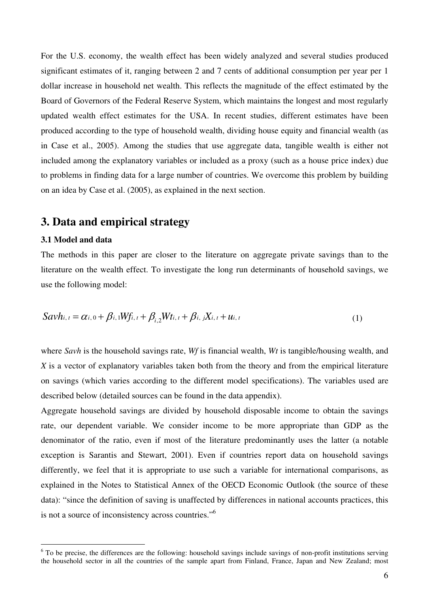For the U.S. economy, the wealth effect has been widely analyzed and several studies produced significant estimates of it, ranging between 2 and 7 cents of additional consumption per year per 1 dollar increase in household net wealth. This reflects the magnitude of the effect estimated by the Board of Governors of the Federal Reserve System, which maintains the longest and most regularly updated wealth effect estimates for the USA. In recent studies, different estimates have been produced according to the type of household wealth, dividing house equity and financial wealth (as in Case et al., 2005). Among the studies that use aggregate data, tangible wealth is either not included among the explanatory variables or included as a proxy (such as a house price index) due to problems in finding data for a large number of countries. We overcome this problem by building on an idea by Case et al. (2005), as explained in the next section.

## **3. Data and empirical strategy**

#### **3.1 Model and data**

 $\overline{a}$ 

The methods in this paper are closer to the literature on aggregate private savings than to the literature on the wealth effect. To investigate the long run determinants of household savings, we use the following model:

$$
Savh_{i,t} = \alpha_{i,0} + \beta_{i,1}Wf_{i,t} + \beta_{i,2}Wt_{i,t} + \beta_{i,j}X_{i,t} + u_{i,t}
$$
\n(1)

where *Savh* is the household savings rate, *Wf* is financial wealth, *Wt* is tangible/housing wealth, and *X* is a vector of explanatory variables taken both from the theory and from the empirical literature on savings (which varies according to the different model specifications). The variables used are described below (detailed sources can be found in the data appendix).

Aggregate household savings are divided by household disposable income to obtain the savings rate, our dependent variable. We consider income to be more appropriate than GDP as the denominator of the ratio, even if most of the literature predominantly uses the latter (a notable exception is Sarantis and Stewart, 2001). Even if countries report data on household savings differently, we feel that it is appropriate to use such a variable for international comparisons, as explained in the Notes to Statistical Annex of the OECD Economic Outlook (the source of these data): "since the definition of saving is unaffected by differences in national accounts practices, this is not a source of inconsistency across countries."<sup>6</sup>

 $6$  To be precise, the differences are the following: household savings include savings of non-profit institutions serving the household sector in all the countries of the sample apart from Finland, France, Japan and New Zealand; most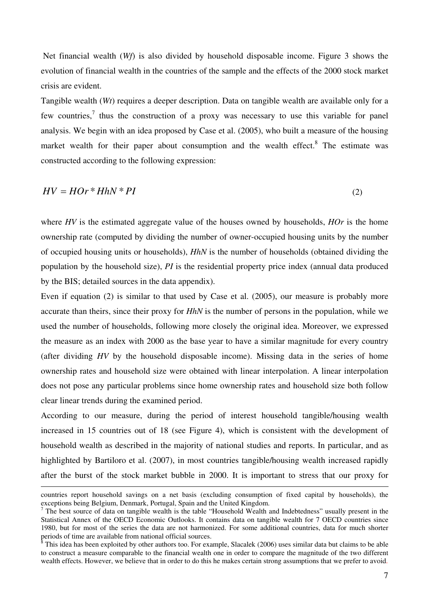Net financial wealth (*Wf*) is also divided by household disposable income. Figure 3 shows the evolution of financial wealth in the countries of the sample and the effects of the 2000 stock market crisis are evident.

Tangible wealth (*Wt*) requires a deeper description. Data on tangible wealth are available only for a few countries,<sup>7</sup> thus the construction of a proxy was necessary to use this variable for panel analysis. We begin with an idea proposed by Case et al. (2005), who built a measure of the housing market wealth for their paper about consumption and the wealth effect.<sup>8</sup> The estimate was constructed according to the following expression:

$$
HV = HOr^* HhN^*PI
$$
 (2)

where *HV* is the estimated aggregate value of the houses owned by households, *HOr* is the home ownership rate (computed by dividing the number of owner-occupied housing units by the number of occupied housing units or households), *HhN* is the number of households (obtained dividing the population by the household size), *PI* is the residential property price index (annual data produced by the BIS; detailed sources in the data appendix).

Even if equation (2) is similar to that used by Case et al. (2005), our measure is probably more accurate than theirs, since their proxy for *HhN* is the number of persons in the population, while we used the number of households, following more closely the original idea. Moreover, we expressed the measure as an index with 2000 as the base year to have a similar magnitude for every country (after dividing *HV* by the household disposable income). Missing data in the series of home ownership rates and household size were obtained with linear interpolation. A linear interpolation does not pose any particular problems since home ownership rates and household size both follow clear linear trends during the examined period.

According to our measure, during the period of interest household tangible/housing wealth increased in 15 countries out of 18 (see Figure 4), which is consistent with the development of household wealth as described in the majority of national studies and reports. In particular, and as highlighted by Bartiloro et al. (2007), in most countries tangible/housing wealth increased rapidly after the burst of the stock market bubble in 2000. It is important to stress that our proxy for

 $\overline{a}$ 

countries report household savings on a net basis (excluding consumption of fixed capital by households), the exceptions being Belgium, Denmark, Portugal, Spain and the United Kingdom.

<sup>&</sup>lt;sup>7</sup> The best source of data on tangible wealth is the table "Household Wealth and Indebtedness" usually present in the Statistical Annex of the OECD Economic Outlooks. It contains data on tangible wealth for 7 OECD countries since 1980, but for most of the series the data are not harmonized. For some additional countries, data for much shorter periods of time are available from national official sources.

<sup>8</sup> This idea has been exploited by other authors too. For example, Slacalek (2006) uses similar data but claims to be able to construct a measure comparable to the financial wealth one in order to compare the magnitude of the two different wealth effects. However, we believe that in order to do this he makes certain strong assumptions that we prefer to avoid.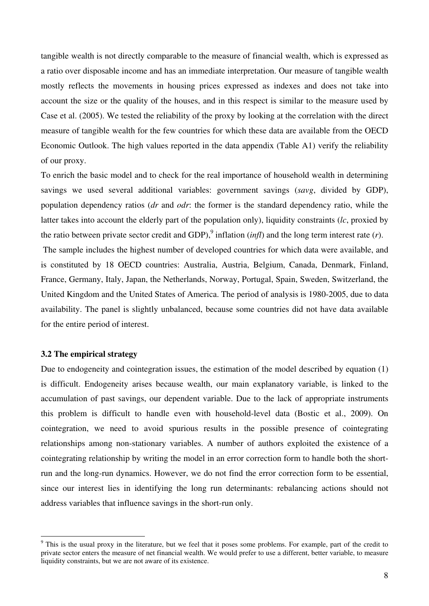tangible wealth is not directly comparable to the measure of financial wealth, which is expressed as a ratio over disposable income and has an immediate interpretation. Our measure of tangible wealth mostly reflects the movements in housing prices expressed as indexes and does not take into account the size or the quality of the houses, and in this respect is similar to the measure used by Case et al. (2005). We tested the reliability of the proxy by looking at the correlation with the direct measure of tangible wealth for the few countries for which these data are available from the OECD Economic Outlook. The high values reported in the data appendix (Table A1) verify the reliability of our proxy.

To enrich the basic model and to check for the real importance of household wealth in determining savings we used several additional variables: government savings (*savg*, divided by GDP), population dependency ratios (*dr* and *odr*: the former is the standard dependency ratio, while the latter takes into account the elderly part of the population only), liquidity constraints (*lc*, proxied by the ratio between private sector credit and GDP),<sup>9</sup> inflation (*infl*) and the long term interest rate (*r*).

 The sample includes the highest number of developed countries for which data were available, and is constituted by 18 OECD countries: Australia, Austria, Belgium, Canada, Denmark, Finland, France, Germany, Italy, Japan, the Netherlands, Norway, Portugal, Spain, Sweden, Switzerland, the United Kingdom and the United States of America. The period of analysis is 1980-2005, due to data availability. The panel is slightly unbalanced, because some countries did not have data available for the entire period of interest.

#### **3.2 The empirical strategy**

 $\overline{a}$ 

Due to endogeneity and cointegration issues, the estimation of the model described by equation (1) is difficult. Endogeneity arises because wealth, our main explanatory variable, is linked to the accumulation of past savings, our dependent variable. Due to the lack of appropriate instruments this problem is difficult to handle even with household-level data (Bostic et al., 2009). On cointegration, we need to avoid spurious results in the possible presence of cointegrating relationships among non-stationary variables. A number of authors exploited the existence of a cointegrating relationship by writing the model in an error correction form to handle both the shortrun and the long-run dynamics. However, we do not find the error correction form to be essential, since our interest lies in identifying the long run determinants: rebalancing actions should not address variables that influence savings in the short-run only.

<sup>&</sup>lt;sup>9</sup> This is the usual proxy in the literature, but we feel that it poses some problems. For example, part of the credit to private sector enters the measure of net financial wealth. We would prefer to use a different, better variable, to measure liquidity constraints, but we are not aware of its existence.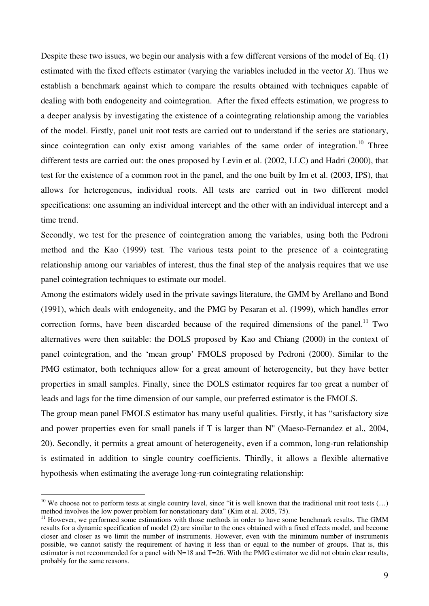Despite these two issues, we begin our analysis with a few different versions of the model of Eq. (1) estimated with the fixed effects estimator (varying the variables included in the vector *X*). Thus we establish a benchmark against which to compare the results obtained with techniques capable of dealing with both endogeneity and cointegration. After the fixed effects estimation, we progress to a deeper analysis by investigating the existence of a cointegrating relationship among the variables of the model. Firstly, panel unit root tests are carried out to understand if the series are stationary, since cointegration can only exist among variables of the same order of integration.<sup>10</sup> Three different tests are carried out: the ones proposed by Levin et al. (2002, LLC) and Hadri (2000), that test for the existence of a common root in the panel, and the one built by Im et al. (2003, IPS), that allows for heterogeneus, individual roots. All tests are carried out in two different model specifications: one assuming an individual intercept and the other with an individual intercept and a time trend.

Secondly, we test for the presence of cointegration among the variables, using both the Pedroni method and the Kao (1999) test. The various tests point to the presence of a cointegrating relationship among our variables of interest, thus the final step of the analysis requires that we use panel cointegration techniques to estimate our model.

Among the estimators widely used in the private savings literature, the GMM by Arellano and Bond (1991), which deals with endogeneity, and the PMG by Pesaran et al. (1999), which handles error correction forms, have been discarded because of the required dimensions of the panel.<sup>11</sup> Two alternatives were then suitable: the DOLS proposed by Kao and Chiang (2000) in the context of panel cointegration, and the 'mean group' FMOLS proposed by Pedroni (2000). Similar to the PMG estimator, both techniques allow for a great amount of heterogeneity, but they have better properties in small samples. Finally, since the DOLS estimator requires far too great a number of leads and lags for the time dimension of our sample, our preferred estimator is the FMOLS.

The group mean panel FMOLS estimator has many useful qualities. Firstly, it has "satisfactory size and power properties even for small panels if T is larger than N'' (Maeso-Fernandez et al., 2004, 20). Secondly, it permits a great amount of heterogeneity, even if a common, long-run relationship is estimated in addition to single country coefficients. Thirdly, it allows a flexible alternative hypothesis when estimating the average long-run cointegrating relationship:

 $\overline{a}$ 

<sup>&</sup>lt;sup>10</sup> We choose not to perform tests at single country level, since "it is well known that the traditional unit root tests  $(...)$ method involves the low power problem for nonstationary data" (Kim et al. 2005, 75).

 $11$  However, we performed some estimations with those methods in order to have some benchmark results. The GMM results for a dynamic specification of model (2) are similar to the ones obtained with a fixed effects model, and become closer and closer as we limit the number of instruments. However, even with the minimum number of instruments possible, we cannot satisfy the requirement of having it less than or equal to the number of groups. That is, this estimator is not recommended for a panel with N=18 and T=26. With the PMG estimator we did not obtain clear results, probably for the same reasons.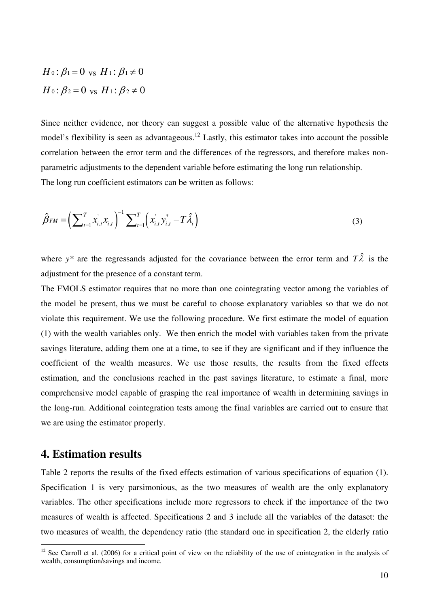$$
H_0: \beta_1 = 0 \text{ vs } H_1: \beta_1 \neq 0
$$
  

$$
H_0: \beta_2 = 0 \text{ vs } H_1: \beta_2 \neq 0
$$

Since neither evidence, nor theory can suggest a possible value of the alternative hypothesis the model's flexibility is seen as advantageous.<sup>12</sup> Lastly, this estimator takes into account the possible correlation between the error term and the differences of the regressors, and therefore makes nonparametric adjustments to the dependent variable before estimating the long run relationship. The long run coefficient estimators can be written as follows:

$$
\hat{\beta}_{FM} = \left(\sum_{t=1}^{T} x_{i,t}^{*} x_{i,t}\right)^{-1} \sum_{t=1}^{T} \left(x_{i,t}^{*} y_{i,t}^{*} - T \hat{\lambda}_{i}\right)
$$
\n(3)

where  $y^*$  are the regressands adjusted for the covariance between the error term and  $T\hat{\lambda}$  is the adjustment for the presence of a constant term.

The FMOLS estimator requires that no more than one cointegrating vector among the variables of the model be present, thus we must be careful to choose explanatory variables so that we do not violate this requirement. We use the following procedure. We first estimate the model of equation (1) with the wealth variables only. We then enrich the model with variables taken from the private savings literature, adding them one at a time, to see if they are significant and if they influence the coefficient of the wealth measures. We use those results, the results from the fixed effects estimation, and the conclusions reached in the past savings literature, to estimate a final, more comprehensive model capable of grasping the real importance of wealth in determining savings in the long-run. Additional cointegration tests among the final variables are carried out to ensure that we are using the estimator properly.

## **4. Estimation results**

 $\overline{a}$ 

Table 2 reports the results of the fixed effects estimation of various specifications of equation (1). Specification 1 is very parsimonious, as the two measures of wealth are the only explanatory variables. The other specifications include more regressors to check if the importance of the two measures of wealth is affected. Specifications 2 and 3 include all the variables of the dataset: the two measures of wealth, the dependency ratio (the standard one in specification 2, the elderly ratio

 $12$  See Carroll et al. (2006) for a critical point of view on the reliability of the use of cointegration in the analysis of wealth, consumption/savings and income.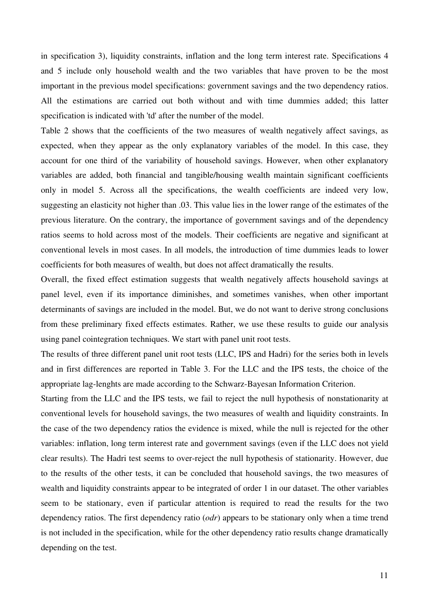in specification 3), liquidity constraints, inflation and the long term interest rate. Specifications 4 and 5 include only household wealth and the two variables that have proven to be the most important in the previous model specifications: government savings and the two dependency ratios. All the estimations are carried out both without and with time dummies added; this latter specification is indicated with 'td' after the number of the model.

Table 2 shows that the coefficients of the two measures of wealth negatively affect savings, as expected, when they appear as the only explanatory variables of the model. In this case, they account for one third of the variability of household savings. However, when other explanatory variables are added, both financial and tangible/housing wealth maintain significant coefficients only in model 5. Across all the specifications, the wealth coefficients are indeed very low, suggesting an elasticity not higher than .03. This value lies in the lower range of the estimates of the previous literature. On the contrary, the importance of government savings and of the dependency ratios seems to hold across most of the models. Their coefficients are negative and significant at conventional levels in most cases. In all models, the introduction of time dummies leads to lower coefficients for both measures of wealth, but does not affect dramatically the results.

Overall, the fixed effect estimation suggests that wealth negatively affects household savings at panel level, even if its importance diminishes, and sometimes vanishes, when other important determinants of savings are included in the model. But, we do not want to derive strong conclusions from these preliminary fixed effects estimates. Rather, we use these results to guide our analysis using panel cointegration techniques. We start with panel unit root tests.

The results of three different panel unit root tests (LLC, IPS and Hadri) for the series both in levels and in first differences are reported in Table 3. For the LLC and the IPS tests, the choice of the appropriate lag-lenghts are made according to the Schwarz-Bayesan Information Criterion.

Starting from the LLC and the IPS tests, we fail to reject the null hypothesis of nonstationarity at conventional levels for household savings, the two measures of wealth and liquidity constraints. In the case of the two dependency ratios the evidence is mixed, while the null is rejected for the other variables: inflation, long term interest rate and government savings (even if the LLC does not yield clear results). The Hadri test seems to over-reject the null hypothesis of stationarity. However, due to the results of the other tests, it can be concluded that household savings, the two measures of wealth and liquidity constraints appear to be integrated of order 1 in our dataset. The other variables seem to be stationary, even if particular attention is required to read the results for the two dependency ratios. The first dependency ratio (*odr*) appears to be stationary only when a time trend is not included in the specification, while for the other dependency ratio results change dramatically depending on the test.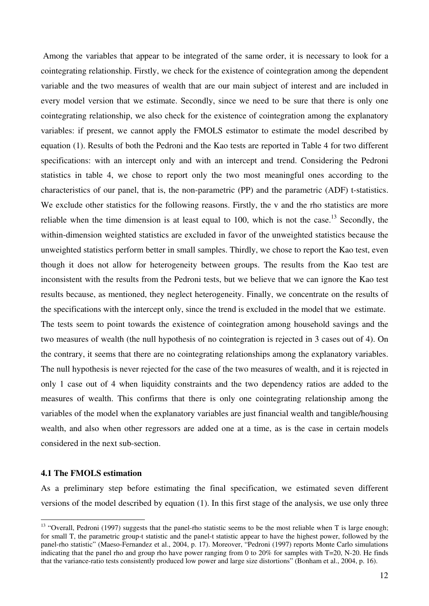Among the variables that appear to be integrated of the same order, it is necessary to look for a cointegrating relationship. Firstly, we check for the existence of cointegration among the dependent variable and the two measures of wealth that are our main subject of interest and are included in every model version that we estimate. Secondly, since we need to be sure that there is only one cointegrating relationship, we also check for the existence of cointegration among the explanatory variables: if present, we cannot apply the FMOLS estimator to estimate the model described by equation (1). Results of both the Pedroni and the Kao tests are reported in Table 4 for two different specifications: with an intercept only and with an intercept and trend. Considering the Pedroni statistics in table 4, we chose to report only the two most meaningful ones according to the characteristics of our panel, that is, the non-parametric (PP) and the parametric (ADF) t-statistics. We exclude other statistics for the following reasons. Firstly, the v and the rho statistics are more reliable when the time dimension is at least equal to 100, which is not the case.<sup>13</sup> Secondly, the within-dimension weighted statistics are excluded in favor of the unweighted statistics because the unweighted statistics perform better in small samples. Thirdly, we chose to report the Kao test, even though it does not allow for heterogeneity between groups. The results from the Kao test are inconsistent with the results from the Pedroni tests, but we believe that we can ignore the Kao test results because, as mentioned, they neglect heterogeneity. Finally, we concentrate on the results of the specifications with the intercept only, since the trend is excluded in the model that we estimate.

The tests seem to point towards the existence of cointegration among household savings and the two measures of wealth (the null hypothesis of no cointegration is rejected in 3 cases out of 4). On the contrary, it seems that there are no cointegrating relationships among the explanatory variables. The null hypothesis is never rejected for the case of the two measures of wealth, and it is rejected in only 1 case out of 4 when liquidity constraints and the two dependency ratios are added to the measures of wealth. This confirms that there is only one cointegrating relationship among the variables of the model when the explanatory variables are just financial wealth and tangible/housing wealth, and also when other regressors are added one at a time, as is the case in certain models considered in the next sub-section.

#### **4.1 The FMOLS estimation**

 $\overline{a}$ 

As a preliminary step before estimating the final specification, we estimated seven different versions of the model described by equation (1). In this first stage of the analysis, we use only three

 $13$  "Overall, Pedroni (1997) suggests that the panel-rho statistic seems to be the most reliable when T is large enough; for small T, the parametric group-t statistic and the panel-t statistic appear to have the highest power, followed by the panel-rho statistic" (Maeso-Fernandez et al., 2004, p. 17). Moreover, "Pedroni (1997) reports Monte Carlo simulations indicating that the panel rho and group rho have power ranging from 0 to 20% for samples with T=20, N-20. He finds that the variance-ratio tests consistently produced low power and large size distortions" (Bonham et al., 2004, p. 16).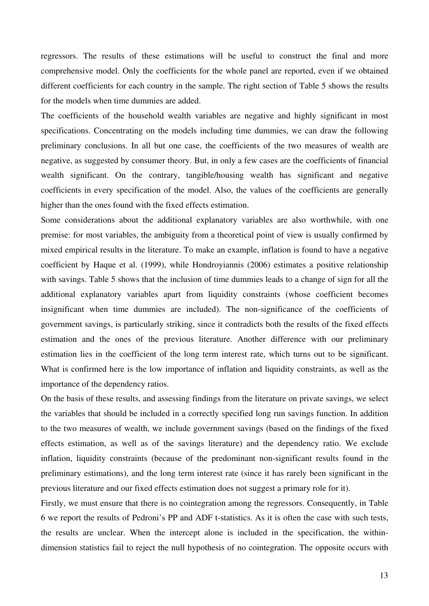regressors. The results of these estimations will be useful to construct the final and more comprehensive model. Only the coefficients for the whole panel are reported, even if we obtained different coefficients for each country in the sample. The right section of Table 5 shows the results for the models when time dummies are added.

The coefficients of the household wealth variables are negative and highly significant in most specifications. Concentrating on the models including time dummies, we can draw the following preliminary conclusions. In all but one case, the coefficients of the two measures of wealth are negative, as suggested by consumer theory. But, in only a few cases are the coefficients of financial wealth significant. On the contrary, tangible/housing wealth has significant and negative coefficients in every specification of the model. Also, the values of the coefficients are generally higher than the ones found with the fixed effects estimation.

Some considerations about the additional explanatory variables are also worthwhile, with one premise: for most variables, the ambiguity from a theoretical point of view is usually confirmed by mixed empirical results in the literature. To make an example, inflation is found to have a negative coefficient by Haque et al. (1999), while Hondroyiannis (2006) estimates a positive relationship with savings. Table 5 shows that the inclusion of time dummies leads to a change of sign for all the additional explanatory variables apart from liquidity constraints (whose coefficient becomes insignificant when time dummies are included). The non-significance of the coefficients of government savings, is particularly striking, since it contradicts both the results of the fixed effects estimation and the ones of the previous literature. Another difference with our preliminary estimation lies in the coefficient of the long term interest rate, which turns out to be significant. What is confirmed here is the low importance of inflation and liquidity constraints, as well as the importance of the dependency ratios.

On the basis of these results, and assessing findings from the literature on private savings, we select the variables that should be included in a correctly specified long run savings function. In addition to the two measures of wealth, we include government savings (based on the findings of the fixed effects estimation, as well as of the savings literature) and the dependency ratio. We exclude inflation, liquidity constraints (because of the predominant non-significant results found in the preliminary estimations), and the long term interest rate (since it has rarely been significant in the previous literature and our fixed effects estimation does not suggest a primary role for it).

Firstly, we must ensure that there is no cointegration among the regressors. Consequently, in Table 6 we report the results of Pedroni's PP and ADF t-statistics. As it is often the case with such tests, the results are unclear. When the intercept alone is included in the specification, the withindimension statistics fail to reject the null hypothesis of no cointegration. The opposite occurs with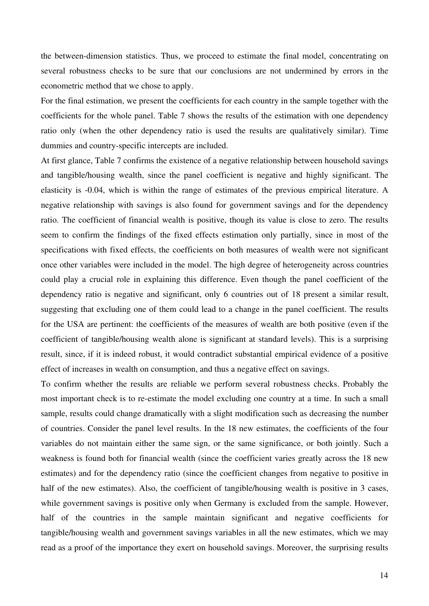the between-dimension statistics. Thus, we proceed to estimate the final model, concentrating on several robustness checks to be sure that our conclusions are not undermined by errors in the econometric method that we chose to apply.

For the final estimation, we present the coefficients for each country in the sample together with the coefficients for the whole panel. Table 7 shows the results of the estimation with one dependency ratio only (when the other dependency ratio is used the results are qualitatively similar). Time dummies and country-specific intercepts are included.

At first glance, Table 7 confirms the existence of a negative relationship between household savings and tangible/housing wealth, since the panel coefficient is negative and highly significant. The elasticity is -0.04, which is within the range of estimates of the previous empirical literature. A negative relationship with savings is also found for government savings and for the dependency ratio. The coefficient of financial wealth is positive, though its value is close to zero. The results seem to confirm the findings of the fixed effects estimation only partially, since in most of the specifications with fixed effects, the coefficients on both measures of wealth were not significant once other variables were included in the model. The high degree of heterogeneity across countries could play a crucial role in explaining this difference. Even though the panel coefficient of the dependency ratio is negative and significant, only 6 countries out of 18 present a similar result, suggesting that excluding one of them could lead to a change in the panel coefficient. The results for the USA are pertinent: the coefficients of the measures of wealth are both positive (even if the coefficient of tangible/housing wealth alone is significant at standard levels). This is a surprising result, since, if it is indeed robust, it would contradict substantial empirical evidence of a positive effect of increases in wealth on consumption, and thus a negative effect on savings.

To confirm whether the results are reliable we perform several robustness checks. Probably the most important check is to re-estimate the model excluding one country at a time. In such a small sample, results could change dramatically with a slight modification such as decreasing the number of countries. Consider the panel level results. In the 18 new estimates, the coefficients of the four variables do not maintain either the same sign, or the same significance, or both jointly. Such a weakness is found both for financial wealth (since the coefficient varies greatly across the 18 new estimates) and for the dependency ratio (since the coefficient changes from negative to positive in half of the new estimates). Also, the coefficient of tangible/housing wealth is positive in 3 cases, while government savings is positive only when Germany is excluded from the sample. However, half of the countries in the sample maintain significant and negative coefficients for tangible/housing wealth and government savings variables in all the new estimates, which we may read as a proof of the importance they exert on household savings. Moreover, the surprising results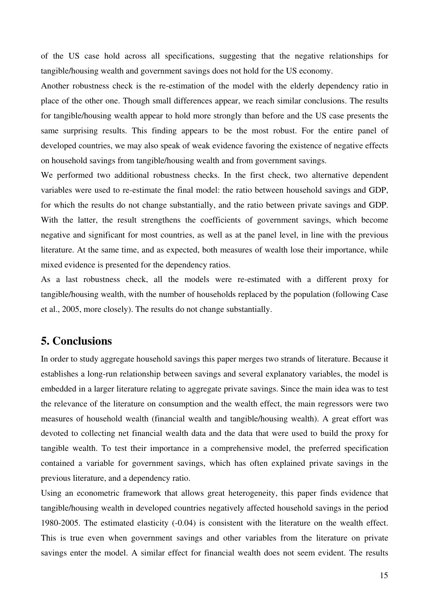of the US case hold across all specifications, suggesting that the negative relationships for tangible/housing wealth and government savings does not hold for the US economy.

Another robustness check is the re-estimation of the model with the elderly dependency ratio in place of the other one. Though small differences appear, we reach similar conclusions. The results for tangible/housing wealth appear to hold more strongly than before and the US case presents the same surprising results. This finding appears to be the most robust. For the entire panel of developed countries, we may also speak of weak evidence favoring the existence of negative effects on household savings from tangible/housing wealth and from government savings.

We performed two additional robustness checks. In the first check, two alternative dependent variables were used to re-estimate the final model: the ratio between household savings and GDP, for which the results do not change substantially, and the ratio between private savings and GDP. With the latter, the result strengthens the coefficients of government savings, which become negative and significant for most countries, as well as at the panel level, in line with the previous literature. At the same time, and as expected, both measures of wealth lose their importance, while mixed evidence is presented for the dependency ratios.

As a last robustness check, all the models were re-estimated with a different proxy for tangible/housing wealth, with the number of households replaced by the population (following Case et al., 2005, more closely). The results do not change substantially.

## **5. Conclusions**

In order to study aggregate household savings this paper merges two strands of literature. Because it establishes a long-run relationship between savings and several explanatory variables, the model is embedded in a larger literature relating to aggregate private savings. Since the main idea was to test the relevance of the literature on consumption and the wealth effect, the main regressors were two measures of household wealth (financial wealth and tangible/housing wealth). A great effort was devoted to collecting net financial wealth data and the data that were used to build the proxy for tangible wealth. To test their importance in a comprehensive model, the preferred specification contained a variable for government savings, which has often explained private savings in the previous literature, and a dependency ratio.

Using an econometric framework that allows great heterogeneity, this paper finds evidence that tangible/housing wealth in developed countries negatively affected household savings in the period 1980-2005. The estimated elasticity (-0.04) is consistent with the literature on the wealth effect. This is true even when government savings and other variables from the literature on private savings enter the model. A similar effect for financial wealth does not seem evident. The results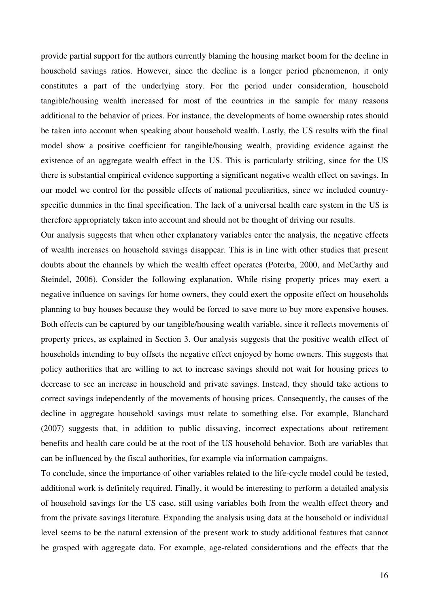provide partial support for the authors currently blaming the housing market boom for the decline in household savings ratios. However, since the decline is a longer period phenomenon, it only constitutes a part of the underlying story. For the period under consideration, household tangible/housing wealth increased for most of the countries in the sample for many reasons additional to the behavior of prices. For instance, the developments of home ownership rates should be taken into account when speaking about household wealth. Lastly, the US results with the final model show a positive coefficient for tangible/housing wealth, providing evidence against the existence of an aggregate wealth effect in the US. This is particularly striking, since for the US there is substantial empirical evidence supporting a significant negative wealth effect on savings. In our model we control for the possible effects of national peculiarities, since we included countryspecific dummies in the final specification. The lack of a universal health care system in the US is therefore appropriately taken into account and should not be thought of driving our results.

Our analysis suggests that when other explanatory variables enter the analysis, the negative effects of wealth increases on household savings disappear. This is in line with other studies that present doubts about the channels by which the wealth effect operates (Poterba, 2000, and McCarthy and Steindel, 2006). Consider the following explanation. While rising property prices may exert a negative influence on savings for home owners, they could exert the opposite effect on households planning to buy houses because they would be forced to save more to buy more expensive houses. Both effects can be captured by our tangible/housing wealth variable, since it reflects movements of property prices, as explained in Section 3. Our analysis suggests that the positive wealth effect of households intending to buy offsets the negative effect enjoyed by home owners. This suggests that policy authorities that are willing to act to increase savings should not wait for housing prices to decrease to see an increase in household and private savings. Instead, they should take actions to correct savings independently of the movements of housing prices. Consequently, the causes of the decline in aggregate household savings must relate to something else. For example, Blanchard (2007) suggests that, in addition to public dissaving, incorrect expectations about retirement benefits and health care could be at the root of the US household behavior. Both are variables that can be influenced by the fiscal authorities, for example via information campaigns.

To conclude, since the importance of other variables related to the life-cycle model could be tested, additional work is definitely required. Finally, it would be interesting to perform a detailed analysis of household savings for the US case, still using variables both from the wealth effect theory and from the private savings literature. Expanding the analysis using data at the household or individual level seems to be the natural extension of the present work to study additional features that cannot be grasped with aggregate data. For example, age-related considerations and the effects that the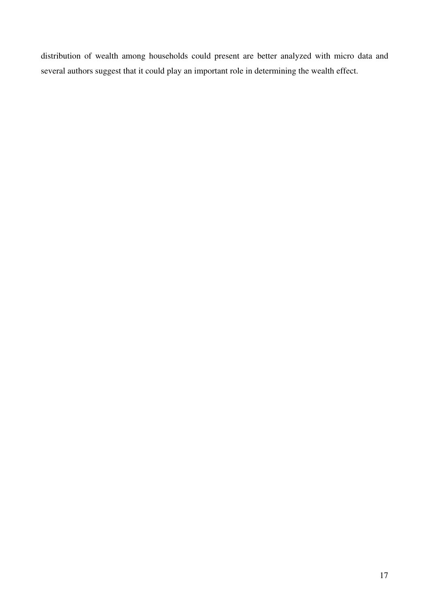distribution of wealth among households could present are better analyzed with micro data and several authors suggest that it could play an important role in determining the wealth effect.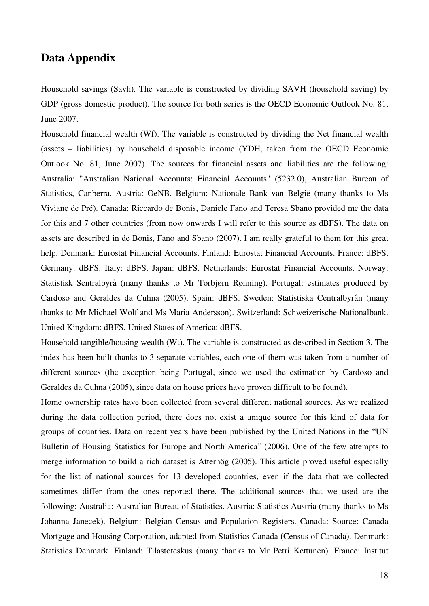## **Data Appendix**

Household savings (Savh). The variable is constructed by dividing SAVH (household saving) by GDP (gross domestic product). The source for both series is the OECD Economic Outlook No. 81, June 2007.

Household financial wealth (Wf). The variable is constructed by dividing the Net financial wealth (assets – liabilities) by household disposable income (YDH, taken from the OECD Economic Outlook No. 81, June 2007). The sources for financial assets and liabilities are the following: Australia: "Australian National Accounts: Financial Accounts" (5232.0), Australian Bureau of Statistics, Canberra. Austria: OeNB. Belgium: Nationale Bank van België (many thanks to Ms Viviane de Pré). Canada: Riccardo de Bonis, Daniele Fano and Teresa Sbano provided me the data for this and 7 other countries (from now onwards I will refer to this source as dBFS). The data on assets are described in de Bonis, Fano and Sbano (2007). I am really grateful to them for this great help. Denmark: Eurostat Financial Accounts. Finland: Eurostat Financial Accounts. France: dBFS. Germany: dBFS. Italy: dBFS. Japan: dBFS. Netherlands: Eurostat Financial Accounts. Norway: Statistisk Sentralbyrå (many thanks to Mr Torbjørn Rønning). Portugal: estimates produced by Cardoso and Geraldes da Cuhna (2005). Spain: dBFS. Sweden: Statistiska Centralbyrån (many thanks to Mr Michael Wolf and Ms Maria Andersson). Switzerland: Schweizerische Nationalbank. United Kingdom: dBFS. United States of America: dBFS.

Household tangible/housing wealth (Wt). The variable is constructed as described in Section 3. The index has been built thanks to 3 separate variables, each one of them was taken from a number of different sources (the exception being Portugal, since we used the estimation by Cardoso and Geraldes da Cuhna (2005), since data on house prices have proven difficult to be found).

Home ownership rates have been collected from several different national sources. As we realized during the data collection period, there does not exist a unique source for this kind of data for groups of countries. Data on recent years have been published by the United Nations in the "UN Bulletin of Housing Statistics for Europe and North America" (2006). One of the few attempts to merge information to build a rich dataset is Atterhög (2005). This article proved useful especially for the list of national sources for 13 developed countries, even if the data that we collected sometimes differ from the ones reported there. The additional sources that we used are the following: Australia: Australian Bureau of Statistics. Austria: Statistics Austria (many thanks to Ms Johanna Janecek). Belgium: Belgian Census and Population Registers. Canada: Source: Canada Mortgage and Housing Corporation, adapted from Statistics Canada (Census of Canada). Denmark: Statistics Denmark. Finland: Tilastoteskus (many thanks to Mr Petri Kettunen). France: Institut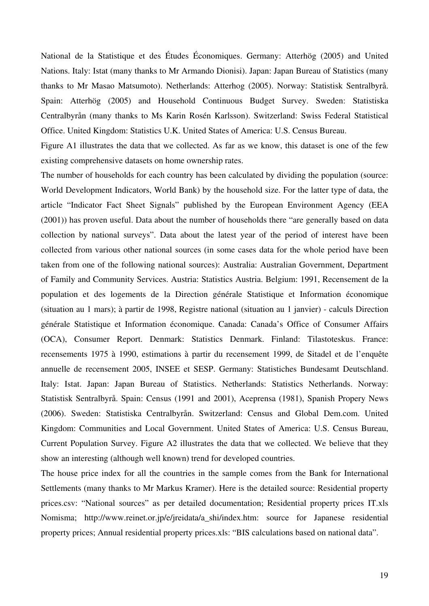National de la Statistique et des Études Économiques. Germany: Atterhög (2005) and United Nations. Italy: Istat (many thanks to Mr Armando Dionisi). Japan: Japan Bureau of Statistics (many thanks to Mr Masao Matsumoto). Netherlands: Atterhog (2005). Norway: Statistisk Sentralbyrå. Spain: Atterhög (2005) and Household Continuous Budget Survey. Sweden: Statistiska Centralbyrån (many thanks to Ms Karin Rosén Karlsson). Switzerland: Swiss Federal Statistical Office. United Kingdom: Statistics U.K. United States of America: U.S. Census Bureau.

Figure A1 illustrates the data that we collected. As far as we know, this dataset is one of the few existing comprehensive datasets on home ownership rates.

The number of households for each country has been calculated by dividing the population (source: World Development Indicators, World Bank) by the household size. For the latter type of data, the article "Indicator Fact Sheet Signals" published by the European Environment Agency (EEA (2001)) has proven useful. Data about the number of households there "are generally based on data collection by national surveys". Data about the latest year of the period of interest have been collected from various other national sources (in some cases data for the whole period have been taken from one of the following national sources): Australia: Australian Government, Department of Family and Community Services. Austria: Statistics Austria. Belgium: 1991, Recensement de la population et des logements de la Direction générale Statistique et Information économique (situation au 1 mars); à partir de 1998, Registre national (situation au 1 janvier) - calculs Direction générale Statistique et Information économique. Canada: Canada's Office of Consumer Affairs (OCA), Consumer Report. Denmark: Statistics Denmark. Finland: Tilastoteskus. France: recensements 1975 à 1990, estimations à partir du recensement 1999, de Sitadel et de l'enquête annuelle de recensement 2005, INSEE et SESP. Germany: Statistiches Bundesamt Deutschland. Italy: Istat. Japan: Japan Bureau of Statistics. Netherlands: Statistics Netherlands. Norway: Statistisk Sentralbyrå. Spain: Census (1991 and 2001), Aceprensa (1981), Spanish Propery News (2006). Sweden: Statistiska Centralbyrån. Switzerland: Census and Global Dem.com. United Kingdom: Communities and Local Government. United States of America: U.S. Census Bureau, Current Population Survey. Figure A2 illustrates the data that we collected. We believe that they show an interesting (although well known) trend for developed countries.

The house price index for all the countries in the sample comes from the Bank for International Settlements (many thanks to Mr Markus Kramer). Here is the detailed source: Residential property prices.csv: "National sources" as per detailed documentation; Residential property prices IT.xls Nomisma; http://www.reinet.or.jp/e/jreidata/a\_shi/index.htm: source for Japanese residential property prices; Annual residential property prices.xls: "BIS calculations based on national data".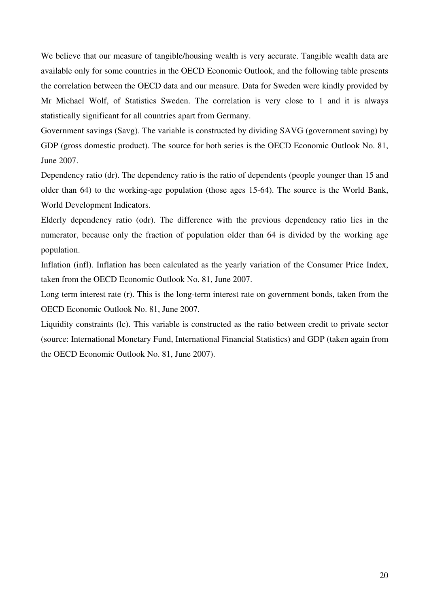We believe that our measure of tangible/housing wealth is very accurate. Tangible wealth data are available only for some countries in the OECD Economic Outlook, and the following table presents the correlation between the OECD data and our measure. Data for Sweden were kindly provided by Mr Michael Wolf, of Statistics Sweden. The correlation is very close to 1 and it is always statistically significant for all countries apart from Germany.

Government savings (Savg). The variable is constructed by dividing SAVG (government saving) by GDP (gross domestic product). The source for both series is the OECD Economic Outlook No. 81, June 2007.

Dependency ratio (dr). The dependency ratio is the ratio of dependents (people younger than 15 and older than 64) to the working-age population (those ages 15-64). The source is the World Bank, World Development Indicators.

Elderly dependency ratio (odr). The difference with the previous dependency ratio lies in the numerator, because only the fraction of population older than 64 is divided by the working age population.

Inflation (infl). Inflation has been calculated as the yearly variation of the Consumer Price Index, taken from the OECD Economic Outlook No. 81, June 2007.

Long term interest rate (r). This is the long-term interest rate on government bonds, taken from the OECD Economic Outlook No. 81, June 2007.

Liquidity constraints (lc). This variable is constructed as the ratio between credit to private sector (source: International Monetary Fund, International Financial Statistics) and GDP (taken again from the OECD Economic Outlook No. 81, June 2007).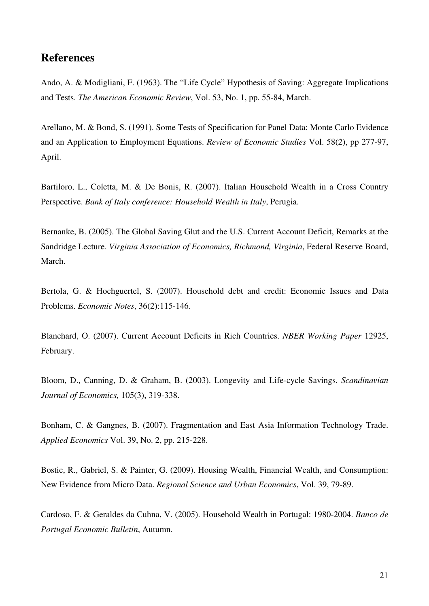## **References**

Ando, A. & Modigliani, F. (1963). The "Life Cycle" Hypothesis of Saving: Aggregate Implications and Tests. *The American Economic Review*, Vol. 53, No. 1, pp. 55-84, March.

Arellano, M. & Bond, S. (1991). Some Tests of Specification for Panel Data: Monte Carlo Evidence and an Application to Employment Equations. *Review of Economic Studies* Vol. 58(2), pp 277-97, April.

Bartiloro, L., Coletta, M. & De Bonis, R. (2007). Italian Household Wealth in a Cross Country Perspective. *Bank of Italy conference: Household Wealth in Italy*, Perugia.

Bernanke, B. (2005). The Global Saving Glut and the U.S. Current Account Deficit, Remarks at the Sandridge Lecture. *Virginia Association of Economics, Richmond, Virginia*, Federal Reserve Board, March.

Bertola, G. & Hochguertel, S. (2007). Household debt and credit: Economic Issues and Data Problems. *Economic Notes*, 36(2):115-146.

Blanchard, O. (2007). Current Account Deficits in Rich Countries. *NBER Working Paper* 12925, February.

Bloom, D., Canning, D. & Graham, B. (2003). Longevity and Life-cycle Savings. *Scandinavian Journal of Economics,* 105(3), 319-338.

Bonham, C. & Gangnes, B. (2007). Fragmentation and East Asia Information Technology Trade. *Applied Economics* Vol. 39, No. 2, pp. 215-228.

Bostic, R., Gabriel, S. & Painter, G. (2009). Housing Wealth, Financial Wealth, and Consumption: New Evidence from Micro Data. *Regional Science and Urban Economics*, Vol. 39, 79-89.

Cardoso, F. & Geraldes da Cuhna, V. (2005). Household Wealth in Portugal: 1980-2004. *Banco de Portugal Economic Bulletin*, Autumn.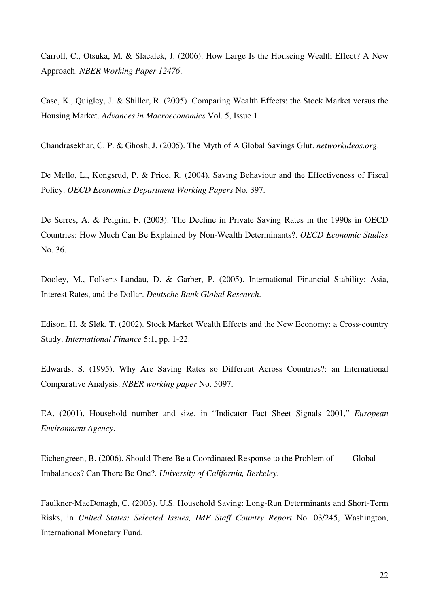Carroll, C., Otsuka, M. & Slacalek, J. (2006). How Large Is the Houseing Wealth Effect? A New Approach. *NBER Working Paper 12476*.

Case, K., Quigley, J. & Shiller, R. (2005). Comparing Wealth Effects: the Stock Market versus the Housing Market. *Advances in Macroeconomics* Vol. 5, Issue 1.

Chandrasekhar, C. P. & Ghosh, J. (2005). The Myth of A Global Savings Glut. *networkideas.org*.

De Mello, L., Kongsrud, P. & Price, R. (2004). Saving Behaviour and the Effectiveness of Fiscal Policy. *OECD Economics Department Working Papers* No. 397.

De Serres, A. & Pelgrin, F. (2003). The Decline in Private Saving Rates in the 1990s in OECD Countries: How Much Can Be Explained by Non-Wealth Determinants?. *OECD Economic Studies* No. 36.

Dooley, M., Folkerts-Landau, D. & Garber, P. (2005). International Financial Stability: Asia, Interest Rates, and the Dollar. *Deutsche Bank Global Research*.

Edison, H. & Sløk, T. (2002). Stock Market Wealth Effects and the New Economy: a Cross-country Study. *International Finance* 5:1, pp. 1-22.

Edwards, S. (1995). Why Are Saving Rates so Different Across Countries?: an International Comparative Analysis. *NBER working paper* No. 5097.

EA. (2001). Household number and size, in "Indicator Fact Sheet Signals 2001," *European Environment Agency*.

Eichengreen, B. (2006). Should There Be a Coordinated Response to the Problem of Global Imbalances? Can There Be One?. *University of California, Berkeley*.

Faulkner-MacDonagh, C. (2003). U.S. Household Saving: Long-Run Determinants and Short-Term Risks, in *United States: Selected Issues, IMF Staff Country Report* No. 03/245, Washington, International Monetary Fund.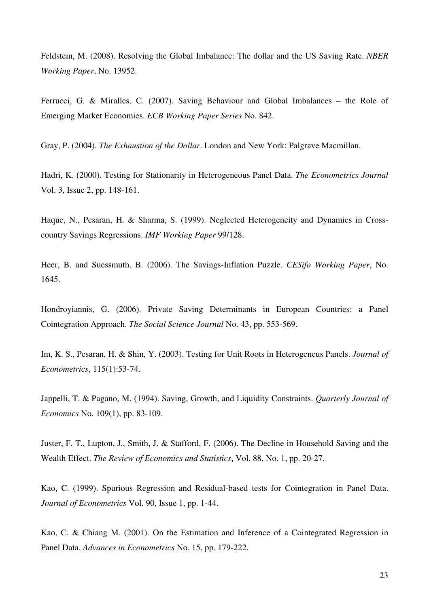Feldstein, M. (2008). Resolving the Global Imbalance: The dollar and the US Saving Rate. *NBER Working Paper*, No. 13952.

Ferrucci, G. & Miralles, C. (2007). Saving Behaviour and Global Imbalances – the Role of Emerging Market Economies. *ECB Working Paper Series* No. 842.

Gray, P. (2004). *The Exhaustion of the Dollar*. London and New York: Palgrave Macmillan.

Hadri, K. (2000). Testing for Stationarity in Heterogeneous Panel Data. *The Econometrics Journal* Vol. 3, Issue 2, pp. 148-161.

Haque, N., Pesaran, H. & Sharma, S. (1999). Neglected Heterogeneity and Dynamics in Crosscountry Savings Regressions. *IMF Working Paper* 99/128.

Heer, B. and Suessmuth, B. (2006). The Savings-Inflation Puzzle. *CESifo Working Paper*, No. 1645.

Hondroyiannis, G. (2006). Private Saving Determinants in European Countries: a Panel Cointegration Approach. *The Social Science Journal* No. 43, pp. 553-569.

Im, K. S., Pesaran, H. & Shin, Y. (2003). Testing for Unit Roots in Heterogeneus Panels. *Journal of Econometrics*, 115(1):53-74.

Jappelli, T. & Pagano, M. (1994). Saving, Growth, and Liquidity Constraints. *Quarterly Journal of Economics* No. 109(1), pp. 83-109.

Juster, F. T., Lupton, J., Smith, J. & Stafford, F. (2006). The Decline in Household Saving and the Wealth Effect. *The Review of Economics and Statistics*, Vol. 88, No. 1, pp. 20-27.

Kao, C. (1999). Spurious Regression and Residual-based tests for Cointegration in Panel Data. *Journal of Econometrics* Vol. 90, Issue 1, pp. 1-44.

Kao, C. & Chiang M. (2001). On the Estimation and Inference of a Cointegrated Regression in Panel Data. *Advances in Econometrics* No. 15, pp. 179-222.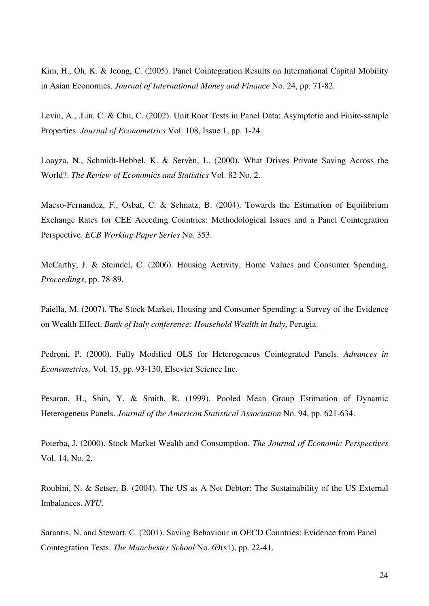Kim, H., Oh, K. & Jeong, C. (2005). Panel Cointegration Results on International Capital Mobility in Asian Economies. *Journal of International Money and Finance* No. 24, pp. 71-82.

Levin, A., .Lin, C. & Chu, C. (2002). Unit Root Tests in Panel Data: Asymptotic and Finite-sample Properties. *Journal of Econometrics* Vol. 108, Issue 1, pp. 1-24.

Loayza, N., Schmidt-Hebbel, K. & Servèn, L. (2000). What Drives Private Saving Across the World?. *The Review of Economics and Statistics* Vol. 82 No. 2.

Maeso-Fernandez, F., Osbat, C. & Schnatz, B. (2004). Towards the Estimation of Equilibrium Exchange Rates for CEE Acceding Countries: Methodological Issues and a Panel Cointegration Perspective. *ECB Working Paper Series* No. 353.

McCarthy, J. & Steindel, C. (2006). Housing Activity, Home Values and Consumer Spending. *Proceedings*, pp. 78-89.

Paiella, M. (2007). The Stock Market, Housing and Consumer Spending: a Survey of the Evidence on Wealth Effect. *Bank of Italy conference: Household Wealth in Italy*, Perugia.

Pedroni, P. (2000). Fully Modified OLS for Heterogeneus Cointegrated Panels. *Advances in Econometrics,* Vol. 15, pp. 93-130, Elsevier Science Inc.

Pesaran, H., Shin, Y. & Smith, R. (1999). Pooled Mean Group Estimation of Dynamic Heterogeneus Panels. *Journal of the American Statistical Association* No. 94, pp. 621-634.

Poterba, J. (2000). Stock Market Wealth and Consumption. *The Journal of Economic Perspectives*  Vol. 14, No. 2.

Roubini, N. & Setser, B. (2004). The US as A Net Debtor: The Sustainability of the US External Imbalances. *NYU*.

Sarantis, N. and Stewart, C. (2001). Saving Behaviour in OECD Countries: Evidence from Panel Cointegration Tests. *The Manchester School* No. 69(s1), pp. 22-41.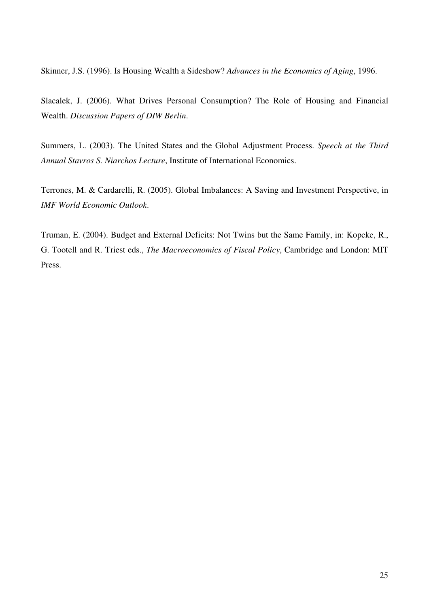Skinner, J.S. (1996). Is Housing Wealth a Sideshow? *Advances in the Economics of Aging*, 1996.

Slacalek, J. (2006). What Drives Personal Consumption? The Role of Housing and Financial Wealth. *Discussion Papers of DIW Berlin*.

Summers, L. (2003). The United States and the Global Adjustment Process. *Speech at the Third Annual Stavros S. Niarchos Lecture*, Institute of International Economics.

Terrones, M. & Cardarelli, R. (2005). Global Imbalances: A Saving and Investment Perspective, in *IMF World Economic Outlook*.

Truman, E. (2004). Budget and External Deficits: Not Twins but the Same Family, in: Kopcke, R., G. Tootell and R. Triest eds., *The Macroeconomics of Fiscal Policy*, Cambridge and London: MIT Press.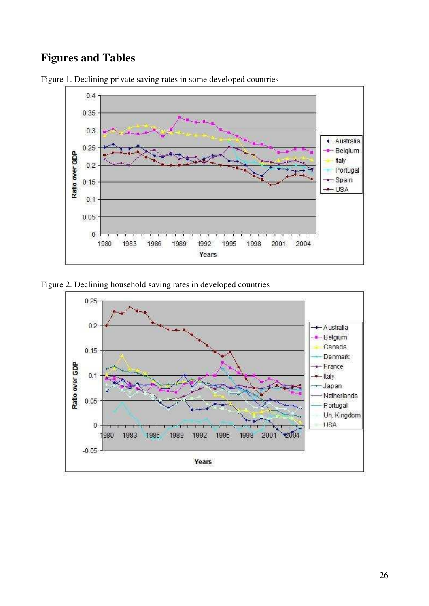## **Figures and Tables**



Figure 1. Declining private saving rates in some developed countries

Figure 2. Declining household saving rates in developed countries

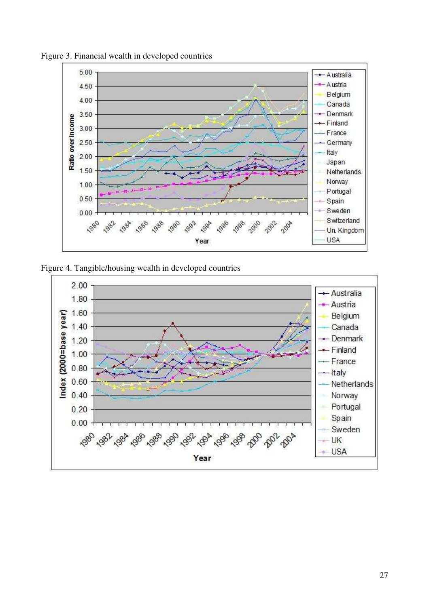

Figure 3. Financial wealth in developed countries

Figure 4. Tangible/housing wealth in developed countries

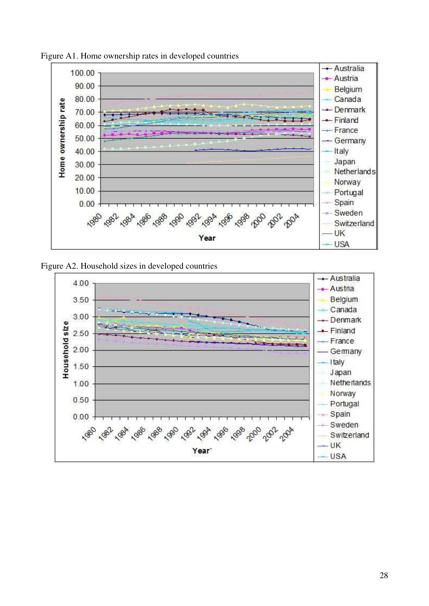

Figure A1. Home ownership rates in developed countries



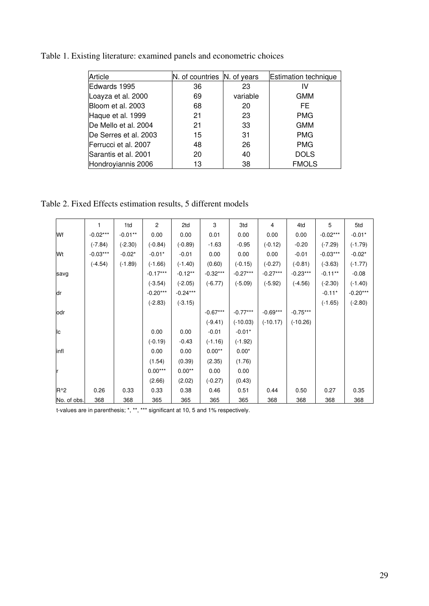| Article               | N. of countries N. of years |          | <b>Estimation technique</b> |
|-----------------------|-----------------------------|----------|-----------------------------|
| Edwards 1995          | 36                          | 23       | ιv                          |
| Loayza et al. 2000    | 69                          | variable | <b>GMM</b>                  |
| Bloom et al. 2003     | 68                          | 20       | FE.                         |
| Haque et al. 1999     | 21                          | 23       | <b>PMG</b>                  |
| De Mello et al. 2004  | 21                          | 33       | <b>GMM</b>                  |
| De Serres et al. 2003 | 15                          | 31       | <b>PMG</b>                  |
| Ferrucci et al. 2007  | 48                          | 26       | <b>PMG</b>                  |
| Sarantis et al. 2001  | 20                          | 40       | <b>DOLS</b>                 |
| Hondroyiannis 2006    | 13                          | 38       | <b>FMOLS</b>                |

Table 1. Existing literature: examined panels and econometric choices

Table 2. Fixed Effects estimation results, 5 different models

|             | 1          | 1 <sub>td</sub> | 2          | 2td        | 3          | 3td        | 4          | 4td        | 5          | 5td        |
|-------------|------------|-----------------|------------|------------|------------|------------|------------|------------|------------|------------|
| Wf          | $-0.02***$ | $-0.01***$      | 0.00       | 0.00       | 0.01       | 0.00       | 0.00       | 0.00       | $-0.02***$ | $-0.01*$   |
|             | $(-7.84)$  | $(-2.30)$       | $(-0.84)$  | $(-0.89)$  | $-1.63$    | $-0.95$    | $(-0.12)$  | $-0.20$    | $(-7.29)$  | $(-1.79)$  |
| Wt          | $-0.03***$ | $-0.02*$        | $-0.01*$   | $-0.01$    | 0.00       | 0.00       | 0.00       | $-0.01$    | $-0.03***$ | $-0.02*$   |
|             | $(-4.54)$  | $(-1.89)$       | $(-1.66)$  | $(-1.40)$  | (0.60)     | $(-0.15)$  | $(-0.27)$  | $(-0.81)$  | $(-3.63)$  | $(-1.77)$  |
| savg        |            |                 | $-0.17***$ | $-0.12**$  | $-0.32***$ | $-0.27***$ | $-0.27***$ | $-0.23***$ | $-0.11**$  | $-0.08$    |
|             |            |                 | $(-3.54)$  | $(-2.05)$  | $(-6.77)$  | $(-5.09)$  | $(-5.92)$  | $(-4.56)$  | $(-2.30)$  | $(-1.40)$  |
| ldr         |            |                 | $-0.20***$ | $-0.24***$ |            |            |            |            | $-0.11*$   | $-0.20***$ |
|             |            |                 | $(-2.83)$  | $(-3.15)$  |            |            |            |            | $(-1.65)$  | $(-2.80)$  |
| odr         |            |                 |            |            | $-0.67***$ | $-0.77***$ | $-0.69***$ | $-0.75***$ |            |            |
|             |            |                 |            |            | $(-9.41)$  | $(-10.03)$ | $(-10.17)$ | $(-10.26)$ |            |            |
| IІс         |            |                 | 0.00       | 0.00       | $-0.01$    | $-0.01*$   |            |            |            |            |
|             |            |                 | $(-0.19)$  | $-0.43$    | $(-1.16)$  | $(-1.92)$  |            |            |            |            |
| linfl       |            |                 | 0.00       | 0.00       | $0.00**$   | $0.00*$    |            |            |            |            |
|             |            |                 | (1.54)     | (0.39)     | (2.35)     | (1.76)     |            |            |            |            |
|             |            |                 | $0.00***$  | $0.00**$   | 0.00       | 0.00       |            |            |            |            |
|             |            |                 | (2.66)     | (2.02)     | $(-0.27)$  | (0.43)     |            |            |            |            |
| $R^2$       | 0.26       | 0.33            | 0.33       | 0.38       | 0.46       | 0.51       | 0.44       | 0.50       | 0.27       | 0.35       |
| No. of obs. | 368        | 368             | 365        | 365        | 365        | 365        | 368        | 368        | 368        | 368        |

t-values are in parenthesis; \*, \*\*, \*\*\* significant at 10, 5 and 1% respectively.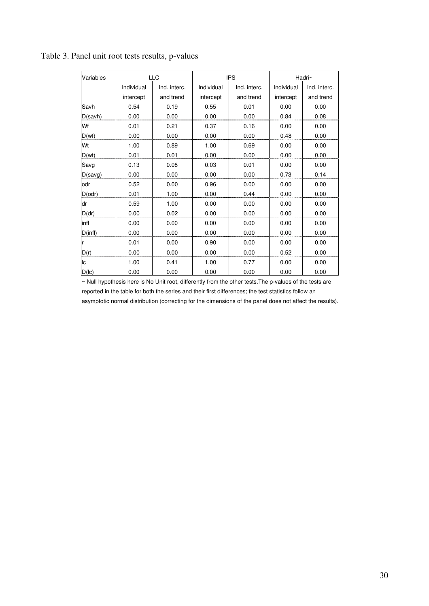| Variables    | LLC        |              |            | <b>IPS</b>   | Hadri~     |              |  |
|--------------|------------|--------------|------------|--------------|------------|--------------|--|
|              | Individual | Ind. interc. | Individual | Ind. interc. | Individual | Ind. interc. |  |
|              | intercept  | and trend    | intercept  | and trend    | intercept  | and trend    |  |
| Savh         | 0.54       | 0.19         | 0.55       | 0.01         | 0.00       | 0.00         |  |
| D(savh)      | 0.00       | 0.00         | 0.00       | 0.00         | 0.84       | 0.08         |  |
| Wf           | 0.01       | 0.21         | 0.37       | 0.16         | 0.00       | 0.00         |  |
| D(wf)        | 0.00       | 0.00         | 0.00       | 0.00         | 0.48       | 0.00         |  |
| Wt           | 1.00       | 0.89         | 1.00       | 0.69         | 0.00       | 0.00         |  |
| D(wt)        | 0.01       | 0.01         | 0.00       | 0.00         | 0.00       | 0.00         |  |
| Savg         | 0.13       | 0.08         | 0.03       | 0.01         | 0.00       | 0.00         |  |
| D(savg)      | 0.00       | 0.00         | 0.00       | 0.00         | 0.73       | 0.14         |  |
| odr          | 0.52       | 0.00         | 0.96       | 0.00         | 0.00       | 0.00         |  |
| $D($ odr $)$ | 0.01       | 1.00         | 0.00       | 0.44         | 0.00       | 0.00         |  |
| dr           | 0.59       | 1.00         | 0.00       | 0.00         | 0.00       | 0.00         |  |
| D(dr)        | 0.00       | 0.02         | 0.00       | 0.00         | 0.00       | 0.00         |  |
| linfl        | 0.00       | 0.00         | 0.00       | 0.00         | 0.00       | 0.00         |  |
| D(int)       | 0.00       | 0.00         | 0.00       | 0.00         | 0.00       | 0.00         |  |
|              | 0.01       | 0.00         | 0.90       | 0.00         | 0.00       | 0.00         |  |
| D(r)         | 0.00       | 0.00         | 0.00       | 0.00         | 0.52       | 0.00         |  |
| lс           | 1.00       | 0.41         | 1.00       | 0.77         | 0.00       | 0.00         |  |
| $D($ c $)$   | 0.00       | 0.00         | 0.00       | 0.00         | 0.00       | 0.00         |  |

Table 3. Panel unit root tests results, p-values

~ Null hypothesis here is No Unit root, differently from the other tests.The p-values of the tests are reported in the table for both the series and their first differences; the test statistics follow an asymptotic normal distribution (correcting for the dimensions of the panel does not affect the results).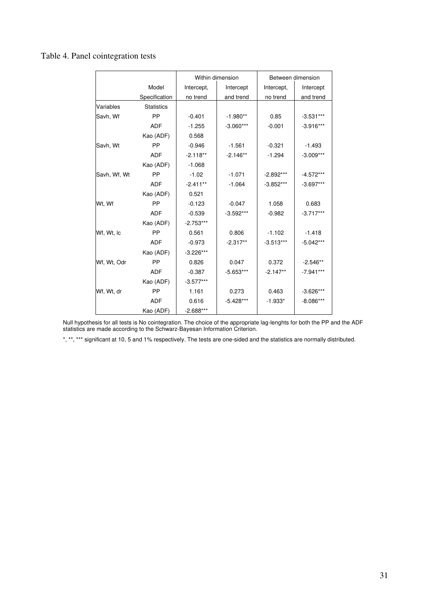### Table 4. Panel cointegration tests

|              |                   | Within dimension |             |             | Between dimension |
|--------------|-------------------|------------------|-------------|-------------|-------------------|
|              | Model             | Intercept,       | Intercept   | Intercept,  | Intercept         |
|              | Specification     | no trend         | and trend   | no trend    | and trend         |
| Variables    | <b>Statistics</b> |                  |             |             |                   |
| Savh, Wf     | PP                | $-0.401$         | $-1.980**$  | 0.85        | $-3.531***$       |
|              | <b>ADF</b>        | $-1.255$         | $-3.060***$ | $-0.001$    | $-3.916***$       |
|              | Kao (ADF)         | 0.568            |             |             |                   |
| Savh, Wt     | PP                | $-0.946$         | $-1.561$    | $-0.321$    | $-1.493$          |
|              | <b>ADF</b>        | $-2.118**$       | $-2.146**$  | $-1.294$    | $-3.009***$       |
|              | Kao (ADF)         | $-1.068$         |             |             |                   |
| Savh, Wf, Wt | <b>PP</b>         | $-1.02$          | $-1.071$    | $-2.892***$ | $-4.572***$       |
|              | <b>ADF</b>        | $-2.411**$       | $-1.064$    | $-3.852***$ | $-3.697***$       |
|              | Kao (ADF)         | 0.521            |             |             |                   |
| Wt, Wf       | <b>PP</b>         | $-0.123$         | $-0.047$    | 1.058       | 0.683             |
|              | <b>ADF</b>        | $-0.539$         | $-3.592***$ | $-0.982$    | $-3.717***$       |
|              | Kao (ADF)         | $-2.753***$      |             |             |                   |
| Wf, Wt, Ic   | PP                | 0.561            | 0.806       | $-1.102$    | $-1.418$          |
|              | <b>ADF</b>        | $-0.973$         | $-2.317**$  | $-3.513***$ | $-5.042***$       |
|              | Kao (ADF)         | $-3.226***$      |             |             |                   |
| Wf, Wt, Odr  | PP                | 0.826            | 0.047       | 0.372       | $-2.546**$        |
|              | <b>ADF</b>        | $-0.387$         | $-5.653***$ | $-2.147**$  | $-7.941***$       |
|              | Kao (ADF)         | $-3.577***$      |             |             |                   |
| Wf, Wt, dr   | PP                | 1.161            | 0.273       | 0.463       | $-3.626***$       |
|              | <b>ADF</b>        | 0.616            | $-5.428***$ | $-1.933*$   | $-8.086***$       |
|              | Kao (ADF)         | $-2.688***$      |             |             |                   |

Null hypothesis for all tests is No cointegration. The choice of the appropriate lag-lenghts for both the PP and the ADF statistics are made according to the Schwarz-Bayesan Information Criterion.

\*, \*\*, \*\*\* significant at 10, 5 and 1% respectively. The tests are one-sided and the statistics are normally distributed.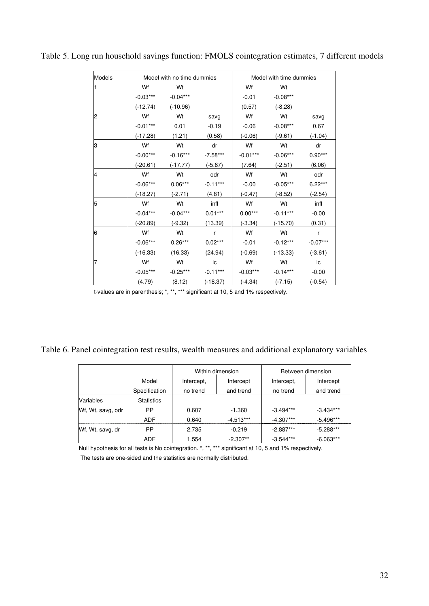| Models |            | Model with no time dummies |            |            | Model with time dummies |            |
|--------|------------|----------------------------|------------|------------|-------------------------|------------|
| 1      | Wf         | Wt                         |            | Wf         | Wt                      |            |
|        | $-0.03***$ | $-0.04***$                 |            | $-0.01$    | $-0.08***$              |            |
|        | $(-12.74)$ | $(-10.96)$                 |            | (0.57)     | $(-8.28)$               |            |
| 2      | Wf         | Wt                         | savg       | Wf         | Wt                      | savg       |
|        | $-0.01***$ | 0.01                       | $-0.19$    | $-0.06$    | $-0.08***$              | 0.67       |
|        | $(-17.28)$ | (1.21)                     | (0.58)     | $(-0.06)$  | $(-9.61)$               | $(-1.04)$  |
| 3      | Wf         | Wt                         | dr         | Wf         | Wt                      | dr         |
|        | $-0.00***$ | $-0.16***$                 | $-7.58***$ | $-0.01***$ | $-0.06***$              | $0.90***$  |
|        | $(-20.61)$ | $(-17.77)$                 | $(-5.87)$  | (7.64)     | $(-2.51)$               | (6.06)     |
| 4      | Wf         | Wt                         | odr        | Wf         | Wt                      | odr        |
|        | $-0.06***$ | $0.06***$                  | $-0.11***$ | $-0.00$    | $-0.05***$              | $6.22***$  |
|        | $(-18.27)$ | $(-2.71)$                  | (4.81)     | $(-0.47)$  | $(-8.52)$               | $(-2.54)$  |
| 5      | Wf         | Wt                         | infl       | Wf         | Wt                      | infl       |
|        | $-0.04***$ | $-0.04***$                 | $0.01***$  | $0.00***$  | $-0.11***$              | $-0.00$    |
|        | (-20.89)   | $(-9.32)$                  | (13.39)    | $(-3.34)$  | $(-15.70)$              | (0.31)     |
| 6      | Wf         | Wt                         | r          | Wf         | Wt                      | r          |
|        | $-0.06***$ | $0.26***$                  | $0.02***$  | $-0.01$    | $-0.12***$              | $-0.07***$ |
|        | $(-16.33)$ | (16.33)                    | (24.94)    | $(-0.69)$  | $(-13.33)$              | $(-3.61)$  |
| 7      | Wf         | Wt                         | Ic         | Wf         | Wt                      | lс         |
|        | $-0.05***$ | $-0.25***$                 | $-0.11***$ | $-0.03***$ | $-0.14***$              | $-0.00$    |
|        | (4.79)     | (8.12)                     | $(-18.37)$ | $(-4.34)$  | $(-7.15)$               | $(-0.54)$  |

Table 5. Long run household savings function: FMOLS cointegration estimates, 7 different models

t-values are in parenthesis; \*, \*\*, \*\*\* significant at 10, 5 and 1% respectively.

Table 6. Panel cointegration test results, wealth measures and additional explanatory variables

|                   |                   | Within dimension |             | Between dimension |             |
|-------------------|-------------------|------------------|-------------|-------------------|-------------|
|                   | Model             | Intercept,       | Intercept   | Intercept,        | Intercept   |
|                   | Specification     | no trend         | and trend   | no trend          | and trend   |
| Variables         | <b>Statistics</b> |                  |             |                   |             |
| Wf, Wt, savg, odr | РP                | 0.607            | $-1.360$    | $-3.494***$       | $-3.434***$ |
|                   | ADE               | 0.640            | $-4.513***$ | $-4.307***$       | $-5.496***$ |
| Wf, Wt, savg, dr  | PP                | 2.735            | $-0.219$    | $-2.887***$       | $-5.288***$ |
|                   | <b>ADF</b>        | 1.554            | $-2.307**$  | $-3.544***$       | $-6.063***$ |

Null hypothesis for all tests is No cointegration. \*, \*\*, \*\*\* significant at 10, 5 and 1% respectively.

The tests are one-sided and the statistics are normally distributed.